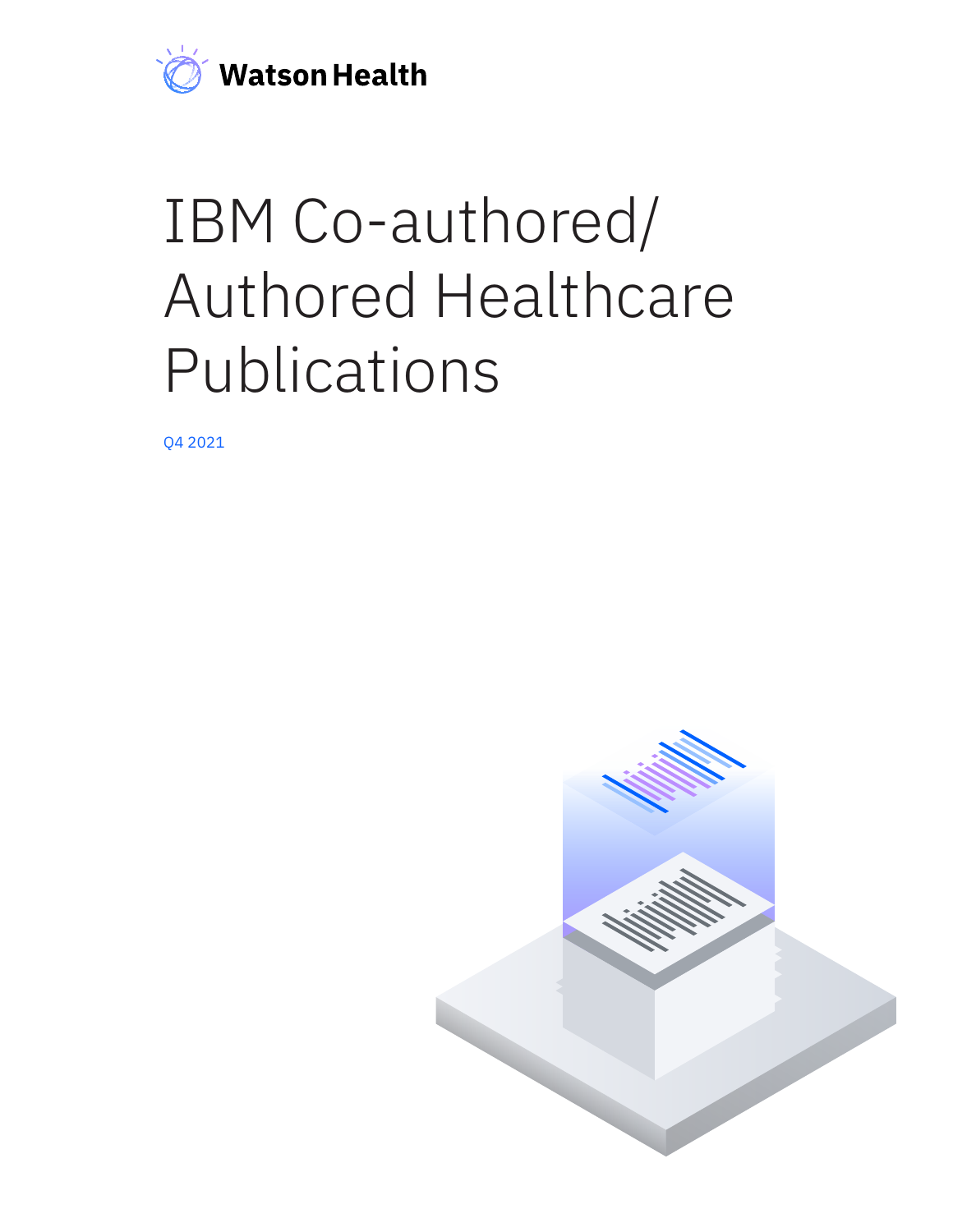

## IBM Co-authored/ Authored Healthcare Publications

Q4 2021

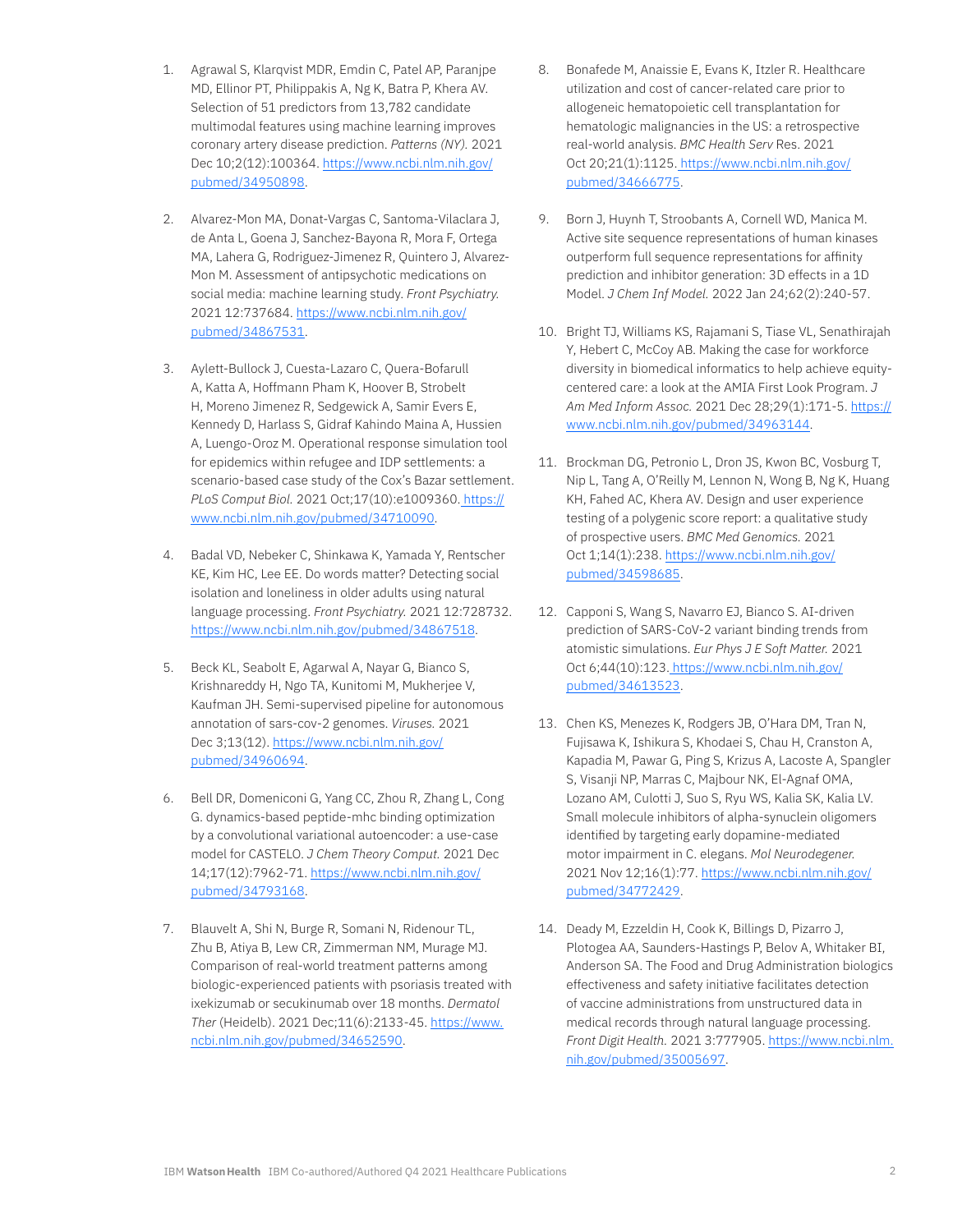- 1. Agrawal S, Klarqvist MDR, Emdin C, Patel AP, Paranjpe MD, Ellinor PT, Philippakis A, Ng K, Batra P, Khera AV. Selection of 51 predictors from 13,782 candidate multimodal features using machine learning improves coronary artery disease prediction. *Patterns (NY).* 2021 Dec 10;2(12):100364. [https://www.ncbi.nlm.nih.gov/](https://www.ncbi.nlm.nih.gov/pubmed/34950898) [pubmed/34950898.](https://www.ncbi.nlm.nih.gov/pubmed/34950898)
- 2. Alvarez-Mon MA, Donat-Vargas C, Santoma-Vilaclara J, de Anta L, Goena J, Sanchez-Bayona R, Mora F, Ortega MA, Lahera G, Rodriguez-Jimenez R, Quintero J, Alvarez-Mon M. Assessment of antipsychotic medications on social media: machine learning study. *Front Psychiatry.*  2021 12:737684. [https://www.ncbi.nlm.nih.gov/](https://www.ncbi.nlm.nih.gov/pubmed/34867531) [pubmed/34867531.](https://www.ncbi.nlm.nih.gov/pubmed/34867531)
- 3. Aylett-Bullock J, Cuesta-Lazaro C, Quera-Bofarull A, Katta A, Hoffmann Pham K, Hoover B, Strobelt H, Moreno Jimenez R, Sedgewick A, Samir Evers E, Kennedy D, Harlass S, Gidraf Kahindo Maina A, Hussien A, Luengo-Oroz M. Operational response simulation tool for epidemics within refugee and IDP settlements: a scenario-based case study of the Cox's Bazar settlement. *PLoS Comput Biol.* 2021 Oct;17(10):e1009360[. https://](https://www.ncbi.nlm.nih.gov/pubmed/34710090) [www.ncbi.nlm.nih.gov/pubmed/34710090](https://www.ncbi.nlm.nih.gov/pubmed/34710090).
- 4. Badal VD, Nebeker C, Shinkawa K, Yamada Y, Rentscher KE, Kim HC, Lee EE. Do words matter? Detecting social isolation and loneliness in older adults using natural language processing. *Front Psychiatry.* 2021 12:728732. <https://www.ncbi.nlm.nih.gov/pubmed/34867518>.
- 5. Beck KL, Seabolt E, Agarwal A, Nayar G, Bianco S, Krishnareddy H, Ngo TA, Kunitomi M, Mukherjee V, Kaufman JH. Semi-supervised pipeline for autonomous annotation of sars-cov-2 genomes. *Viruses.* 2021 Dec 3;13(12). [https://www.ncbi.nlm.nih.gov/](https://www.ncbi.nlm.nih.gov/pubmed/34960694) [pubmed/34960694.](https://www.ncbi.nlm.nih.gov/pubmed/34960694)
- 6. Bell DR, Domeniconi G, Yang CC, Zhou R, Zhang L, Cong G. dynamics-based peptide-mhc binding optimization by a convolutional variational autoencoder: a use-case model for CASTELO. *J Chem Theory Comput.* 2021 Dec 14;17(12):7962-71. [https://www.ncbi.nlm.nih.gov/](https://www.ncbi.nlm.nih.gov/pubmed/34793168) [pubmed/34793168.](https://www.ncbi.nlm.nih.gov/pubmed/34793168)
- 7. Blauvelt A, Shi N, Burge R, Somani N, Ridenour TL, Zhu B, Atiya B, Lew CR, Zimmerman NM, Murage MJ. Comparison of real-world treatment patterns among biologic-experienced patients with psoriasis treated with ixekizumab or secukinumab over 18 months. *Dermatol Ther* (Heidelb). 2021 Dec;11(6):2133-45. [https://www.](https://www.ncbi.nlm.nih.gov/pubmed/34652590) [ncbi.nlm.nih.gov/pubmed/34652590.](https://www.ncbi.nlm.nih.gov/pubmed/34652590)
- 8. Bonafede M, Anaissie E, Evans K, Itzler R. Healthcare utilization and cost of cancer-related care prior to allogeneic hematopoietic cell transplantation for hematologic malignancies in the US: a retrospective real-world analysis. *BMC Health Serv* Res. 2021 Oct 20;21(1):1125[. https://www.ncbi.nlm.nih.gov/](https://www.ncbi.nlm.nih.gov/pubmed/34666775) [pubmed/34666775](https://www.ncbi.nlm.nih.gov/pubmed/34666775).
- 9. Born J, Huynh T, Stroobants A, Cornell WD, Manica M. Active site sequence representations of human kinases outperform full sequence representations for affinity prediction and inhibitor generation: 3D effects in a 1D Model. *J Chem Inf Model.* 2022 Jan 24;62(2):240-57.
- 10. Bright TJ, Williams KS, Rajamani S, Tiase VL, Senathirajah Y, Hebert C, McCoy AB. Making the case for workforce diversity in biomedical informatics to help achieve equitycentered care: a look at the AMIA First Look Program. *J Am Med Inform Assoc.* 2021 Dec 28;29(1):171-5. [https://](https://www.ncbi.nlm.nih.gov/pubmed/34963144) [www.ncbi.nlm.nih.gov/pubmed/34963144](https://www.ncbi.nlm.nih.gov/pubmed/34963144).
- 11. Brockman DG, Petronio L, Dron JS, Kwon BC, Vosburg T, Nip L, Tang A, O'Reilly M, Lennon N, Wong B, Ng K, Huang KH, Fahed AC, Khera AV. Design and user experience testing of a polygenic score report: a qualitative study of prospective users. *BMC Med Genomics.* 2021 Oct 1;14(1):238. [https://www.ncbi.nlm.nih.gov/](https://www.ncbi.nlm.nih.gov/pubmed/34598685) [pubmed/34598685](https://www.ncbi.nlm.nih.gov/pubmed/34598685).
- 12. Capponi S, Wang S, Navarro EJ, Bianco S. AI-driven prediction of SARS-CoV-2 variant binding trends from atomistic simulations. *Eur Phys J E Soft Matter.* 2021 Oct 6;44(10):123[. https://www.ncbi.nlm.nih.gov/](https://www.ncbi.nlm.nih.gov/pubmed/34613523) [pubmed/34613523](https://www.ncbi.nlm.nih.gov/pubmed/34613523).
- 13. Chen KS, Menezes K, Rodgers JB, O'Hara DM, Tran N, Fujisawa K, Ishikura S, Khodaei S, Chau H, Cranston A, Kapadia M, Pawar G, Ping S, Krizus A, Lacoste A, Spangler S, Visanji NP, Marras C, Majbour NK, El-Agnaf OMA, Lozano AM, Culotti J, Suo S, Ryu WS, Kalia SK, Kalia LV. Small molecule inhibitors of alpha-synuclein oligomers identified by targeting early dopamine-mediated motor impairment in C. elegans. *Mol Neurodegener.*  2021 Nov 12;16(1):77. [https://www.ncbi.nlm.nih.gov/](https://www.ncbi.nlm.nih.gov/pubmed/34772429) [pubmed/34772429](https://www.ncbi.nlm.nih.gov/pubmed/34772429).
- 14. Deady M, Ezzeldin H, Cook K, Billings D, Pizarro J, Plotogea AA, Saunders-Hastings P, Belov A, Whitaker BI, Anderson SA. The Food and Drug Administration biologics effectiveness and safety initiative facilitates detection of vaccine administrations from unstructured data in medical records through natural language processing. *Front Digit Health.* 2021 3:777905. [https://www.ncbi.nlm.](https://www.ncbi.nlm.nih.gov/pubmed/35005697) [nih.gov/pubmed/35005697](https://www.ncbi.nlm.nih.gov/pubmed/35005697).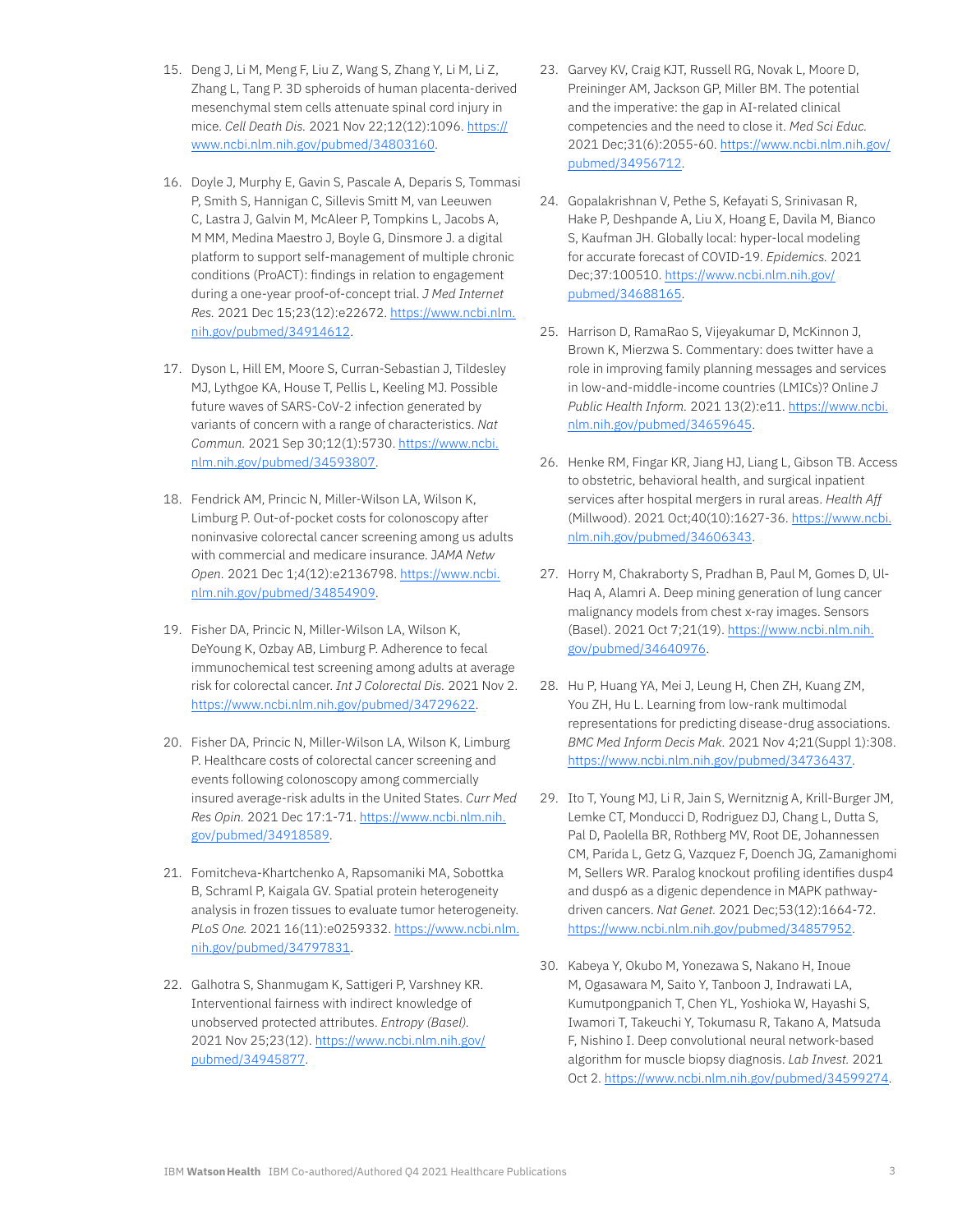- 15. Deng J, Li M, Meng F, Liu Z, Wang S, Zhang Y, Li M, Li Z, Zhang L, Tang P. 3D spheroids of human placenta-derived mesenchymal stem cells attenuate spinal cord injury in mice. *Cell Death Dis.* 2021 Nov 22;12(12):1096. [https://](https://www.ncbi.nlm.nih.gov/pubmed/34803160) [www.ncbi.nlm.nih.gov/pubmed/34803160](https://www.ncbi.nlm.nih.gov/pubmed/34803160).
- 16. Doyle J, Murphy E, Gavin S, Pascale A, Deparis S, Tommasi P, Smith S, Hannigan C, Sillevis Smitt M, van Leeuwen C, Lastra J, Galvin M, McAleer P, Tompkins L, Jacobs A, M MM, Medina Maestro J, Boyle G, Dinsmore J. a digital platform to support self-management of multiple chronic conditions (ProACT): findings in relation to engagement during a one-year proof-of-concept trial. *J Med Internet Res.* 2021 Dec 15;23(12):e22672. [https://www.ncbi.nlm.](https://www.ncbi.nlm.nih.gov/pubmed/34914612) [nih.gov/pubmed/34914612](https://www.ncbi.nlm.nih.gov/pubmed/34914612).
- 17. Dyson L, Hill EM, Moore S, Curran-Sebastian J, Tildesley MJ, Lythgoe KA, House T, Pellis L, Keeling MJ. Possible future waves of SARS-CoV-2 infection generated by variants of concern with a range of characteristics. *Nat Commun.* 2021 Sep 30;12(1):5730. [https://www.ncbi.](https://www.ncbi.nlm.nih.gov/pubmed/34593807) [nlm.nih.gov/pubmed/34593807](https://www.ncbi.nlm.nih.gov/pubmed/34593807).
- 18. Fendrick AM, Princic N, Miller-Wilson LA, Wilson K, Limburg P. Out-of-pocket costs for colonoscopy after noninvasive colorectal cancer screening among us adults with commercial and medicare insurance. J*AMA Netw Open.* 2021 Dec 1;4(12):e2136798. [https://www.ncbi.](https://www.ncbi.nlm.nih.gov/pubmed/34854909) [nlm.nih.gov/pubmed/34854909](https://www.ncbi.nlm.nih.gov/pubmed/34854909).
- 19. Fisher DA, Princic N, Miller-Wilson LA, Wilson K, DeYoung K, Ozbay AB, Limburg P. Adherence to fecal immunochemical test screening among adults at average risk for colorectal cancer. *Int J Colorectal Dis.* 2021 Nov 2. [https://www.ncbi.nlm.nih.gov/pubmed/34729622.](https://www.ncbi.nlm.nih.gov/pubmed/34729622)
- 20. Fisher DA, Princic N, Miller-Wilson LA, Wilson K, Limburg P. Healthcare costs of colorectal cancer screening and events following colonoscopy among commercially insured average-risk adults in the United States. *Curr Med Res Opin.* 2021 Dec 17:1-71. [https://www.ncbi.nlm.nih.](https://www.ncbi.nlm.nih.gov/pubmed/34918589) [gov/pubmed/34918589.](https://www.ncbi.nlm.nih.gov/pubmed/34918589)
- 21. Fomitcheva-Khartchenko A, Rapsomaniki MA, Sobottka B, Schraml P, Kaigala GV. Spatial protein heterogeneity analysis in frozen tissues to evaluate tumor heterogeneity. *PLoS One.* 2021 16(11):e0259332. [https://www.ncbi.nlm.](https://www.ncbi.nlm.nih.gov/pubmed/34797831) [nih.gov/pubmed/34797831](https://www.ncbi.nlm.nih.gov/pubmed/34797831).
- 22. Galhotra S, Shanmugam K, Sattigeri P, Varshney KR. Interventional fairness with indirect knowledge of unobserved protected attributes. *Entropy (Basel).* 2021 Nov 25;23(12). [https://www.ncbi.nlm.nih.gov/](https://www.ncbi.nlm.nih.gov/pubmed/34945877) [pubmed/34945877](https://www.ncbi.nlm.nih.gov/pubmed/34945877).
- 23. Garvey KV, Craig KJT, Russell RG, Novak L, Moore D, Preininger AM, Jackson GP, Miller BM. The potential and the imperative: the gap in AI-related clinical competencies and the need to close it. *Med Sci Educ.*  2021 Dec;31(6):2055-60. [https://www.ncbi.nlm.nih.gov/](https://www.ncbi.nlm.nih.gov/pubmed/34956712) [pubmed/34956712](https://www.ncbi.nlm.nih.gov/pubmed/34956712).
- 24. Gopalakrishnan V, Pethe S, Kefayati S, Srinivasan R, Hake P, Deshpande A, Liu X, Hoang E, Davila M, Bianco S, Kaufman JH. Globally local: hyper-local modeling for accurate forecast of COVID-19. *Epidemics.* 2021 Dec;37:100510. [https://www.ncbi.nlm.nih.gov/](https://www.ncbi.nlm.nih.gov/pubmed/34688165) [pubmed/34688165](https://www.ncbi.nlm.nih.gov/pubmed/34688165).
- 25. Harrison D, RamaRao S, Vijeyakumar D, McKinnon J, Brown K, Mierzwa S. Commentary: does twitter have a role in improving family planning messages and services in low-and-middle-income countries (LMICs)? Online *J Public Health Inform.* 2021 13(2):e11. [https://www.ncbi.](https://www.ncbi.nlm.nih.gov/pubmed/34659645) [nlm.nih.gov/pubmed/34659645](https://www.ncbi.nlm.nih.gov/pubmed/34659645).
- 26. Henke RM, Fingar KR, Jiang HJ, Liang L, Gibson TB. Access to obstetric, behavioral health, and surgical inpatient services after hospital mergers in rural areas. *Health Aff* (Millwood). 2021 Oct;40(10):1627-36. [https://www.ncbi.](https://www.ncbi.nlm.nih.gov/pubmed/34606343) [nlm.nih.gov/pubmed/34606343](https://www.ncbi.nlm.nih.gov/pubmed/34606343).
- 27. Horry M, Chakraborty S, Pradhan B, Paul M, Gomes D, Ul-Haq A, Alamri A. Deep mining generation of lung cancer malignancy models from chest x-ray images. Sensors (Basel). 2021 Oct 7;21(19). [https://www.ncbi.nlm.nih.](https://www.ncbi.nlm.nih.gov/pubmed/34640976) [gov/pubmed/34640976.](https://www.ncbi.nlm.nih.gov/pubmed/34640976)
- 28. Hu P, Huang YA, Mei J, Leung H, Chen ZH, Kuang ZM, You ZH, Hu L. Learning from low-rank multimodal representations for predicting disease-drug associations. *BMC Med Inform Decis Mak.* 2021 Nov 4;21(Suppl 1):308. [https://www.ncbi.nlm.nih.gov/pubmed/34736437.](https://www.ncbi.nlm.nih.gov/pubmed/34736437)
- 29. Ito T, Young MJ, Li R, Jain S, Wernitznig A, Krill-Burger JM, Lemke CT, Monducci D, Rodriguez DJ, Chang L, Dutta S, Pal D, Paolella BR, Rothberg MV, Root DE, Johannessen CM, Parida L, Getz G, Vazquez F, Doench JG, Zamanighomi M, Sellers WR. Paralog knockout profiling identifies dusp4 and dusp6 as a digenic dependence in MAPK pathwaydriven cancers. *Nat Genet.* 2021 Dec;53(12):1664-72. [https://www.ncbi.nlm.nih.gov/pubmed/34857952.](https://www.ncbi.nlm.nih.gov/pubmed/34857952)
- 30. Kabeya Y, Okubo M, Yonezawa S, Nakano H, Inoue M, Ogasawara M, Saito Y, Tanboon J, Indrawati LA, Kumutpongpanich T, Chen YL, Yoshioka W, Hayashi S, Iwamori T, Takeuchi Y, Tokumasu R, Takano A, Matsuda F, Nishino I. Deep convolutional neural network-based algorithm for muscle biopsy diagnosis. *Lab Invest.* 2021 Oct 2. <https://www.ncbi.nlm.nih.gov/pubmed/34599274>.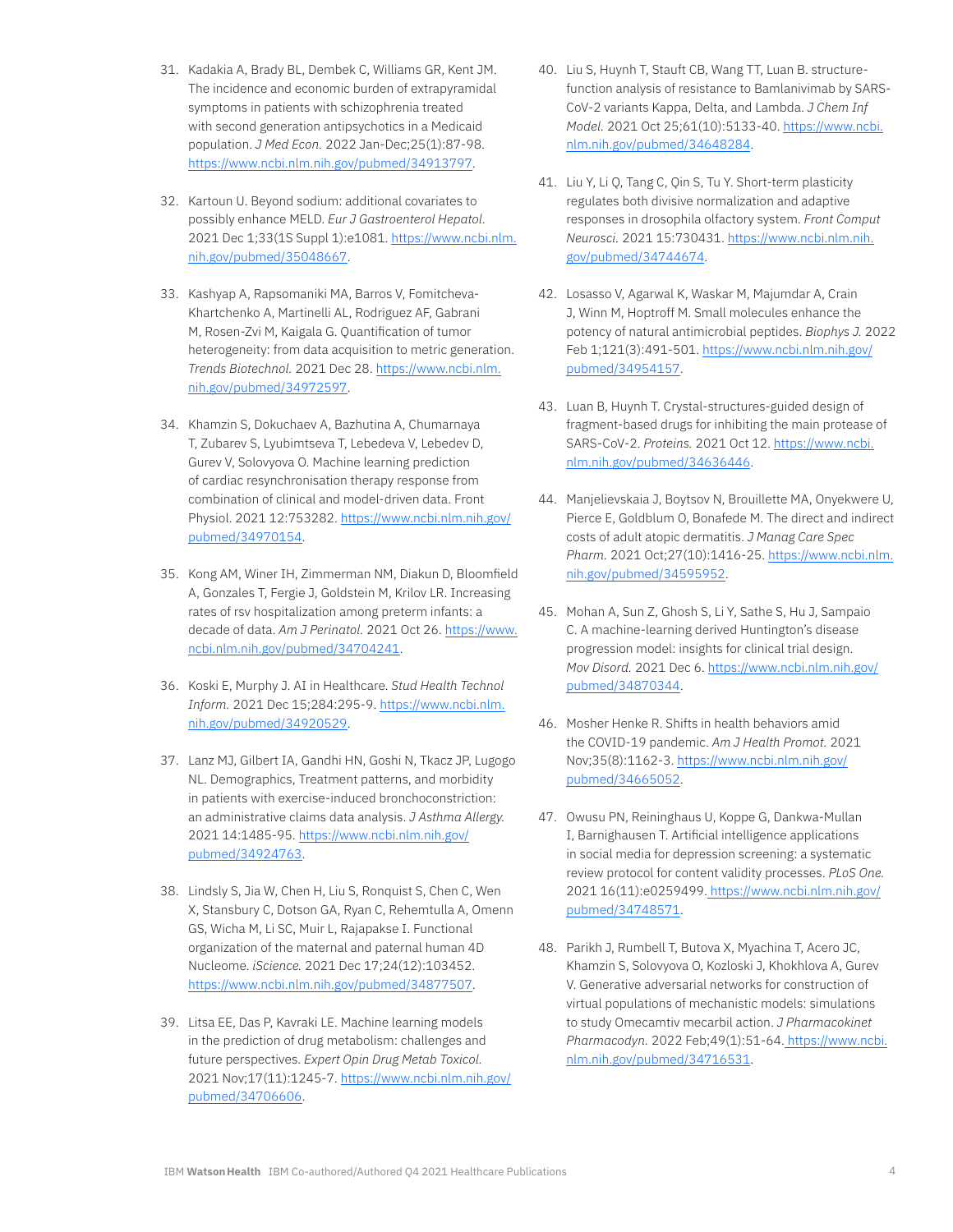- 31. Kadakia A, Brady BL, Dembek C, Williams GR, Kent JM. The incidence and economic burden of extrapyramidal symptoms in patients with schizophrenia treated with second generation antipsychotics in a Medicaid population. *J Med Econ.* 2022 Jan-Dec;25(1):87-98. [https://www.ncbi.nlm.nih.gov/pubmed/34913797.](https://www.ncbi.nlm.nih.gov/pubmed/34913797)
- 32. Kartoun U. Beyond sodium: additional covariates to possibly enhance MELD. *Eur J Gastroenterol Hepatol.*  2021 Dec 1;33(1S Suppl 1):e1081. [https://www.ncbi.nlm.](https://www.ncbi.nlm.nih.gov/pubmed/35048667) [nih.gov/pubmed/35048667](https://www.ncbi.nlm.nih.gov/pubmed/35048667).
- 33. Kashyap A, Rapsomaniki MA, Barros V, Fomitcheva-Khartchenko A, Martinelli AL, Rodriguez AF, Gabrani M, Rosen-Zvi M, Kaigala G. Quantification of tumor heterogeneity: from data acquisition to metric generation. *Trends Biotechnol.* 2021 Dec 28. [https://www.ncbi.nlm.](https://www.ncbi.nlm.nih.gov/pubmed/34972597) [nih.gov/pubmed/34972597](https://www.ncbi.nlm.nih.gov/pubmed/34972597).
- 34. Khamzin S, Dokuchaev A, Bazhutina A, Chumarnaya T, Zubarev S, Lyubimtseva T, Lebedeva V, Lebedev D, Gurev V, Solovyova O. Machine learning prediction of cardiac resynchronisation therapy response from combination of clinical and model-driven data. Front Physiol. 2021 12:753282. [https://www.ncbi.nlm.nih.gov/](https://www.ncbi.nlm.nih.gov/pubmed/34970154) [pubmed/34970154](https://www.ncbi.nlm.nih.gov/pubmed/34970154).
- 35. Kong AM, Winer IH, Zimmerman NM, Diakun D, Bloomfield A, Gonzales T, Fergie J, Goldstein M, Krilov LR. Increasing rates of rsv hospitalization among preterm infants: a decade of data. *Am J Perinatol.* 2021 Oct 26. [https://www.](https://www.ncbi.nlm.nih.gov/pubmed/34704241) [ncbi.nlm.nih.gov/pubmed/34704241.](https://www.ncbi.nlm.nih.gov/pubmed/34704241)
- 36. Koski E, Murphy J. AI in Healthcare. *Stud Health Technol Inform.* 2021 Dec 15;284:295-9. [https://www.ncbi.nlm.](https://www.ncbi.nlm.nih.gov/pubmed/34920529) [nih.gov/pubmed/34920529](https://www.ncbi.nlm.nih.gov/pubmed/34920529).
- 37. Lanz MJ, Gilbert IA, Gandhi HN, Goshi N, Tkacz JP, Lugogo NL. Demographics, Treatment patterns, and morbidity in patients with exercise-induced bronchoconstriction: an administrative claims data analysis. *J Asthma Allergy.*  2021 14:1485-95. [https://www.ncbi.nlm.nih.gov/](https://www.ncbi.nlm.nih.gov/pubmed/34924763) [pubmed/34924763](https://www.ncbi.nlm.nih.gov/pubmed/34924763).
- 38. Lindsly S, Jia W, Chen H, Liu S, Ronquist S, Chen C, Wen X, Stansbury C, Dotson GA, Ryan C, Rehemtulla A, Omenn GS, Wicha M, Li SC, Muir L, Rajapakse I. Functional organization of the maternal and paternal human 4D Nucleome. *iScience.* 2021 Dec 17;24(12):103452. [https://www.ncbi.nlm.nih.gov/pubmed/34877507.](https://www.ncbi.nlm.nih.gov/pubmed/34877507)
- 39. Litsa EE, Das P, Kavraki LE. Machine learning models in the prediction of drug metabolism: challenges and future perspectives. *Expert Opin Drug Metab Toxicol.*  2021 Nov;17(11):1245-7. [https://www.ncbi.nlm.nih.gov/](https://www.ncbi.nlm.nih.gov/pubmed/34706606) [pubmed/34706606](https://www.ncbi.nlm.nih.gov/pubmed/34706606).
- 40. Liu S, Huynh T, Stauft CB, Wang TT, Luan B. structurefunction analysis of resistance to Bamlanivimab by SARS-CoV-2 variants Kappa, Delta, and Lambda. *J Chem Inf Model.* 2021 Oct 25;61(10):5133-40. [https://www.ncbi.](https://www.ncbi.nlm.nih.gov/pubmed/34648284) [nlm.nih.gov/pubmed/34648284](https://www.ncbi.nlm.nih.gov/pubmed/34648284).
- 41. Liu Y, Li Q, Tang C, Qin S, Tu Y. Short-term plasticity regulates both divisive normalization and adaptive responses in drosophila olfactory system. *Front Comput Neurosci.* 2021 15:730431. [https://www.ncbi.nlm.nih.](https://www.ncbi.nlm.nih.gov/pubmed/34744674) [gov/pubmed/34744674.](https://www.ncbi.nlm.nih.gov/pubmed/34744674)
- 42. Losasso V, Agarwal K, Waskar M, Majumdar A, Crain J, Winn M, Hoptroff M. Small molecules enhance the potency of natural antimicrobial peptides. *Biophys J.* 2022 Feb 1;121(3):491-501. [https://www.ncbi.nlm.nih.gov/](https://www.ncbi.nlm.nih.gov/pubmed/34954157) [pubmed/34954157](https://www.ncbi.nlm.nih.gov/pubmed/34954157).
- 43. Luan B, Huynh T. Crystal-structures-guided design of fragment-based drugs for inhibiting the main protease of SARS-CoV-2. *Proteins.* 2021 Oct 12. [https://www.ncbi.](https://www.ncbi.nlm.nih.gov/pubmed/34636446) [nlm.nih.gov/pubmed/34636446](https://www.ncbi.nlm.nih.gov/pubmed/34636446).
- 44. Manjelievskaia J, Boytsov N, Brouillette MA, Onyekwere U, Pierce E, Goldblum O, Bonafede M. The direct and indirect costs of adult atopic dermatitis. *J Manag Care Spec Pharm.* 2021 Oct;27(10):1416-25. [https://www.ncbi.nlm.](https://www.ncbi.nlm.nih.gov/pubmed/34595952) [nih.gov/pubmed/34595952](https://www.ncbi.nlm.nih.gov/pubmed/34595952).
- 45. Mohan A, Sun Z, Ghosh S, Li Y, Sathe S, Hu J, Sampaio C. A machine-learning derived Huntington's disease progression model: insights for clinical trial design. *Mov Disord.* 2021 Dec 6. [https://www.ncbi.nlm.nih.gov/](https://www.ncbi.nlm.nih.gov/pubmed/34870344) [pubmed/34870344](https://www.ncbi.nlm.nih.gov/pubmed/34870344).
- 46. Mosher Henke R. Shifts in health behaviors amid the COVID-19 pandemic. *Am J Health Promot.* 2021 Nov;35(8):1162-3. [https://www.ncbi.nlm.nih.gov/](https://www.ncbi.nlm.nih.gov/pubmed/34665052) [pubmed/34665052](https://www.ncbi.nlm.nih.gov/pubmed/34665052).
- 47. Owusu PN, Reininghaus U, Koppe G, Dankwa-Mullan I, Barnighausen T. Artificial intelligence applications in social media for depression screening: a systematic review protocol for content validity processes. *PLoS One.* 2021 16(11):e0259499. [https://www.ncbi.nlm.nih.gov/](https://www.ncbi.nlm.nih.gov/pubmed/34748571) [pubmed/34748571](https://www.ncbi.nlm.nih.gov/pubmed/34748571).
- 48. Parikh J, Rumbell T, Butova X, Myachina T, Acero JC, Khamzin S, Solovyova O, Kozloski J, Khokhlova A, Gurev V. Generative adversarial networks for construction of virtual populations of mechanistic models: simulations to study Omecamtiv mecarbil action. *J Pharmacokinet Pharmacodyn.* 2022 Feb;49(1):51-64[. https://www.ncbi.](https://www.ncbi.nlm.nih.gov/pubmed/34716531) [nlm.nih.gov/pubmed/34716531](https://www.ncbi.nlm.nih.gov/pubmed/34716531).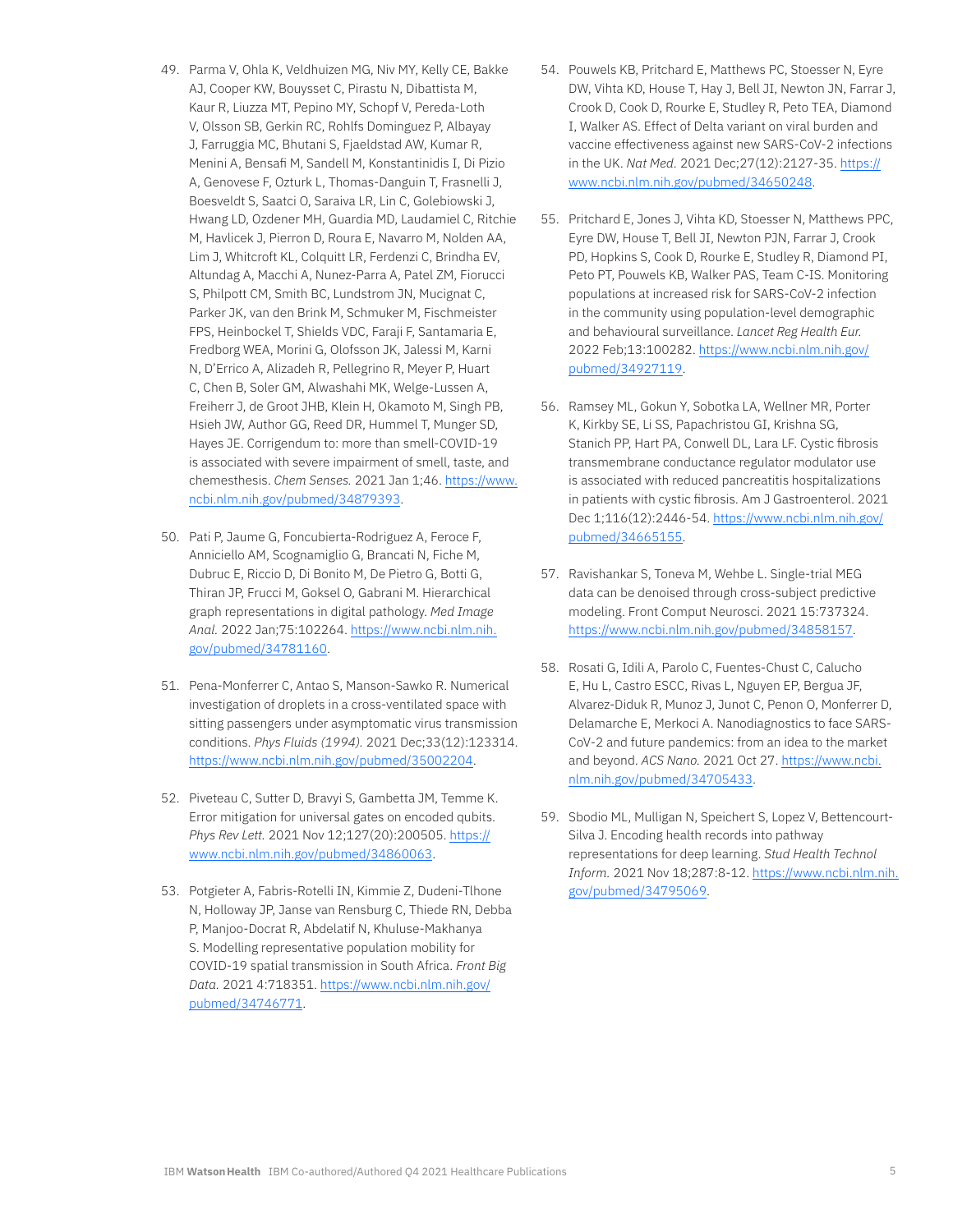- 49. Parma V, Ohla K, Veldhuizen MG, Niv MY, Kelly CE, Bakke AJ, Cooper KW, Bouysset C, Pirastu N, Dibattista M, Kaur R, Liuzza MT, Pepino MY, Schopf V, Pereda-Loth V, Olsson SB, Gerkin RC, Rohlfs Dominguez P, Albayay J, Farruggia MC, Bhutani S, Fjaeldstad AW, Kumar R, Menini A, Bensafi M, Sandell M, Konstantinidis I, Di Pizio A, Genovese F, Ozturk L, Thomas-Danguin T, Frasnelli J, Boesveldt S, Saatci O, Saraiva LR, Lin C, Golebiowski J, Hwang LD, Ozdener MH, Guardia MD, Laudamiel C, Ritchie M, Havlicek J, Pierron D, Roura E, Navarro M, Nolden AA, Lim J, Whitcroft KL, Colquitt LR, Ferdenzi C, Brindha EV, Altundag A, Macchi A, Nunez-Parra A, Patel ZM, Fiorucci S, Philpott CM, Smith BC, Lundstrom JN, Mucignat C, Parker JK, van den Brink M, Schmuker M, Fischmeister FPS, Heinbockel T, Shields VDC, Faraji F, Santamaria E, Fredborg WEA, Morini G, Olofsson JK, Jalessi M, Karni N, D'Errico A, Alizadeh R, Pellegrino R, Meyer P, Huart C, Chen B, Soler GM, Alwashahi MK, Welge-Lussen A, Freiherr J, de Groot JHB, Klein H, Okamoto M, Singh PB, Hsieh JW, Author GG, Reed DR, Hummel T, Munger SD, Hayes JE. Corrigendum to: more than smell-COVID-19 is associated with severe impairment of smell, taste, and chemesthesis. *Chem Senses.* 2021 Jan 1;46. [https://www.](https://www.ncbi.nlm.nih.gov/pubmed/34879393) [ncbi.nlm.nih.gov/pubmed/34879393](https://www.ncbi.nlm.nih.gov/pubmed/34879393).
- 50. Pati P, Jaume G, Foncubierta-Rodriguez A, Feroce F, Anniciello AM, Scognamiglio G, Brancati N, Fiche M, Dubruc E, Riccio D, Di Bonito M, De Pietro G, Botti G, Thiran JP, Frucci M, Goksel O, Gabrani M. Hierarchical graph representations in digital pathology. *Med Image Anal.* 2022 Jan;75:102264. [https://www.ncbi.nlm.nih.](https://www.ncbi.nlm.nih.gov/pubmed/34781160) [gov/pubmed/34781160](https://www.ncbi.nlm.nih.gov/pubmed/34781160).
- 51. Pena-Monferrer C, Antao S, Manson-Sawko R. Numerical investigation of droplets in a cross-ventilated space with sitting passengers under asymptomatic virus transmission conditions. *Phys Fluids (1994).* 2021 Dec;33(12):123314. <https://www.ncbi.nlm.nih.gov/pubmed/35002204>.
- 52. Piveteau C, Sutter D, Bravyi S, Gambetta JM, Temme K. Error mitigation for universal gates on encoded qubits. *Phys Rev Lett.* 2021 Nov 12;127(20):200505. [https://](https://www.ncbi.nlm.nih.gov/pubmed/34860063) [www.ncbi.nlm.nih.gov/pubmed/34860063.](https://www.ncbi.nlm.nih.gov/pubmed/34860063)
- 53. Potgieter A, Fabris-Rotelli IN, Kimmie Z, Dudeni-Tlhone N, Holloway JP, Janse van Rensburg C, Thiede RN, Debba P, Manjoo-Docrat R, Abdelatif N, Khuluse-Makhanya S. Modelling representative population mobility for COVID-19 spatial transmission in South Africa. *Front Big Data.* 2021 4:718351. [https://www.ncbi.nlm.nih.gov/](https://www.ncbi.nlm.nih.gov/pubmed/34746771) [pubmed/34746771.](https://www.ncbi.nlm.nih.gov/pubmed/34746771)
- 54. Pouwels KB, Pritchard E, Matthews PC, Stoesser N, Eyre DW, Vihta KD, House T, Hay J, Bell JI, Newton JN, Farrar J, Crook D, Cook D, Rourke E, Studley R, Peto TEA, Diamond I, Walker AS. Effect of Delta variant on viral burden and vaccine effectiveness against new SARS-CoV-2 infections in the UK. *Nat Med.* 2021 Dec;27(12):2127-35. [https://](https://www.ncbi.nlm.nih.gov/pubmed/34650248) [www.ncbi.nlm.nih.gov/pubmed/34650248.](https://www.ncbi.nlm.nih.gov/pubmed/34650248)
- 55. Pritchard E, Jones J, Vihta KD, Stoesser N, Matthews PPC, Eyre DW, House T, Bell JI, Newton PJN, Farrar J, Crook PD, Hopkins S, Cook D, Rourke E, Studley R, Diamond PI, Peto PT, Pouwels KB, Walker PAS, Team C-IS. Monitoring populations at increased risk for SARS-CoV-2 infection in the community using population-level demographic and behavioural surveillance. *Lancet Reg Health Eur.* 2022 Feb;13:100282. [https://www.ncbi.nlm.nih.gov/](https://www.ncbi.nlm.nih.gov/pubmed/34927119) [pubmed/34927119.](https://www.ncbi.nlm.nih.gov/pubmed/34927119)
- 56. Ramsey ML, Gokun Y, Sobotka LA, Wellner MR, Porter K, Kirkby SE, Li SS, Papachristou GI, Krishna SG, Stanich PP, Hart PA, Conwell DL, Lara LF. Cystic fibrosis transmembrane conductance regulator modulator use is associated with reduced pancreatitis hospitalizations in patients with cystic fibrosis. Am J Gastroenterol. 2021 Dec 1;116(12):2446-54. [https://www.ncbi.nlm.nih.gov/](https://www.ncbi.nlm.nih.gov/pubmed/34665155) [pubmed/34665155.](https://www.ncbi.nlm.nih.gov/pubmed/34665155)
- 57. Ravishankar S, Toneva M, Wehbe L. Single-trial MEG data can be denoised through cross-subject predictive modeling. Front Comput Neurosci. 2021 15:737324. <https://www.ncbi.nlm.nih.gov/pubmed/34858157>.
- 58. Rosati G, Idili A, Parolo C, Fuentes-Chust C, Calucho E, Hu L, Castro ESCC, Rivas L, Nguyen EP, Bergua JF, Alvarez-Diduk R, Munoz J, Junot C, Penon O, Monferrer D, Delamarche E, Merkoci A. Nanodiagnostics to face SARS-CoV-2 and future pandemics: from an idea to the market and beyond. *ACS Nano.* 2021 Oct 27. [https://www.ncbi.](https://www.ncbi.nlm.nih.gov/pubmed/34705433) [nlm.nih.gov/pubmed/34705433.](https://www.ncbi.nlm.nih.gov/pubmed/34705433)
- 59. Sbodio ML, Mulligan N, Speichert S, Lopez V, Bettencourt-Silva J. Encoding health records into pathway representations for deep learning. *Stud Health Technol Inform.* 2021 Nov 18;287:8-12. [https://www.ncbi.nlm.nih.](https://www.ncbi.nlm.nih.gov/pubmed/34795069) [gov/pubmed/34795069](https://www.ncbi.nlm.nih.gov/pubmed/34795069).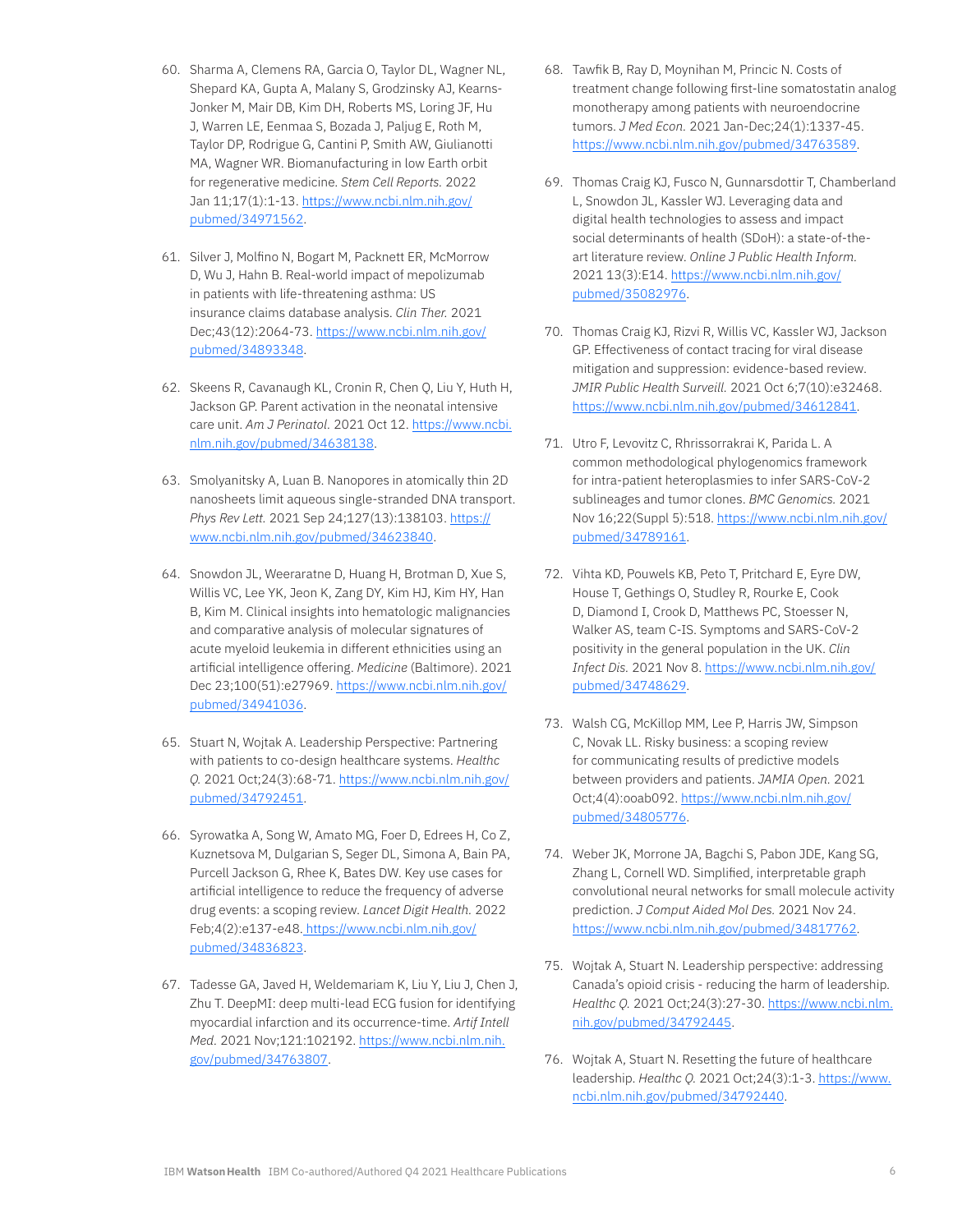- 60. Sharma A, Clemens RA, Garcia O, Taylor DL, Wagner NL, Shepard KA, Gupta A, Malany S, Grodzinsky AJ, Kearns-Jonker M, Mair DB, Kim DH, Roberts MS, Loring JF, Hu J, Warren LE, Eenmaa S, Bozada J, Paljug E, Roth M, Taylor DP, Rodrigue G, Cantini P, Smith AW, Giulianotti MA, Wagner WR. Biomanufacturing in low Earth orbit for regenerative medicine. *Stem Cell Reports.* 2022 Jan 11;17(1):1-13. [https://www.ncbi.nlm.nih.gov/](https://www.ncbi.nlm.nih.gov/pubmed/34971562) [pubmed/34971562](https://www.ncbi.nlm.nih.gov/pubmed/34971562).
- 61. Silver J, Molfino N, Bogart M, Packnett ER, McMorrow D, Wu J, Hahn B. Real-world impact of mepolizumab in patients with life-threatening asthma: US insurance claims database analysis. *Clin Ther.* 2021 Dec;43(12):2064-73. [https://www.ncbi.nlm.nih.gov/](https://www.ncbi.nlm.nih.gov/pubmed/34893348) [pubmed/34893348](https://www.ncbi.nlm.nih.gov/pubmed/34893348).
- 62. Skeens R, Cavanaugh KL, Cronin R, Chen Q, Liu Y, Huth H, Jackson GP. Parent activation in the neonatal intensive care unit. *Am J Perinatol.* 2021 Oct 12. [https://www.ncbi.](https://www.ncbi.nlm.nih.gov/pubmed/34638138) [nlm.nih.gov/pubmed/34638138](https://www.ncbi.nlm.nih.gov/pubmed/34638138).
- 63. Smolyanitsky A, Luan B. Nanopores in atomically thin 2D nanosheets limit aqueous single-stranded DNA transport. *Phys Rev Lett.* 2021 Sep 24;127(13):138103. [https://](https://www.ncbi.nlm.nih.gov/pubmed/34623840) [www.ncbi.nlm.nih.gov/pubmed/34623840](https://www.ncbi.nlm.nih.gov/pubmed/34623840).
- 64. Snowdon JL, Weeraratne D, Huang H, Brotman D, Xue S, Willis VC, Lee YK, Jeon K, Zang DY, Kim HJ, Kim HY, Han B, Kim M. Clinical insights into hematologic malignancies and comparative analysis of molecular signatures of acute myeloid leukemia in different ethnicities using an artificial intelligence offering. *Medicine* (Baltimore). 2021 Dec 23;100(51):e27969. [https://www.ncbi.nlm.nih.gov/](https://www.ncbi.nlm.nih.gov/pubmed/34941036) [pubmed/34941036](https://www.ncbi.nlm.nih.gov/pubmed/34941036).
- 65. Stuart N, Wojtak A. Leadership Perspective: Partnering with patients to co-design healthcare systems. *Healthc Q.* 2021 Oct;24(3):68-71. [https://www.ncbi.nlm.nih.gov/](https://www.ncbi.nlm.nih.gov/pubmed/34792451) [pubmed/34792451](https://www.ncbi.nlm.nih.gov/pubmed/34792451).
- 66. Syrowatka A, Song W, Amato MG, Foer D, Edrees H, Co Z, Kuznetsova M, Dulgarian S, Seger DL, Simona A, Bain PA, Purcell Jackson G, Rhee K, Bates DW. Key use cases for artificial intelligence to reduce the frequency of adverse drug events: a scoping review. *Lancet Digit Health.* 2022 Feb;4(2):e137-e48. [https://www.ncbi.nlm.nih.gov/](https://www.ncbi.nlm.nih.gov/pubmed/34836823) [pubmed/34836823](https://www.ncbi.nlm.nih.gov/pubmed/34836823).
- 67. Tadesse GA, Javed H, Weldemariam K, Liu Y, Liu J, Chen J, Zhu T. DeepMI: deep multi-lead ECG fusion for identifying myocardial infarction and its occurrence-time. *Artif Intell Med.* 2021 Nov;121:102192. [https://www.ncbi.nlm.nih.](https://www.ncbi.nlm.nih.gov/pubmed/34763807) [gov/pubmed/34763807.](https://www.ncbi.nlm.nih.gov/pubmed/34763807)
- 68. Tawfik B, Ray D, Moynihan M, Princic N. Costs of treatment change following first-line somatostatin analog monotherapy among patients with neuroendocrine tumors. *J Med Econ.* 2021 Jan-Dec;24(1):1337-45. [https://www.ncbi.nlm.nih.gov/pubmed/34763589.](https://www.ncbi.nlm.nih.gov/pubmed/34763589)
- 69. Thomas Craig KJ, Fusco N, Gunnarsdottir T, Chamberland L, Snowdon JL, Kassler WJ. Leveraging data and digital health technologies to assess and impact social determinants of health (SDoH): a state-of-theart literature review. *Online J Public Health Inform.*  2021 13(3):E14. [https://www.ncbi.nlm.nih.gov/](https://www.ncbi.nlm.nih.gov/pubmed/35082976) [pubmed/35082976](https://www.ncbi.nlm.nih.gov/pubmed/35082976).
- 70. Thomas Craig KJ, Rizvi R, Willis VC, Kassler WJ, Jackson GP. Effectiveness of contact tracing for viral disease mitigation and suppression: evidence-based review. *JMIR Public Health Surveill.* 2021 Oct 6;7(10):e32468. [https://www.ncbi.nlm.nih.gov/pubmed/34612841.](https://www.ncbi.nlm.nih.gov/pubmed/34612841)
- 71. Utro F, Levovitz C, Rhrissorrakrai K, Parida L. A common methodological phylogenomics framework for intra-patient heteroplasmies to infer SARS-CoV-2 sublineages and tumor clones. *BMC Genomics.* 2021 Nov 16;22(Suppl 5):518. [https://www.ncbi.nlm.nih.gov/](https://www.ncbi.nlm.nih.gov/pubmed/34789161) [pubmed/34789161](https://www.ncbi.nlm.nih.gov/pubmed/34789161).
- 72. Vihta KD, Pouwels KB, Peto T, Pritchard E, Eyre DW, House T, Gethings O, Studley R, Rourke E, Cook D, Diamond I, Crook D, Matthews PC, Stoesser N, Walker AS, team C-IS. Symptoms and SARS-CoV-2 positivity in the general population in the UK. *Clin Infect Dis.* 2021 Nov 8. [https://www.ncbi.nlm.nih.gov/](https://www.ncbi.nlm.nih.gov/pubmed/34748629) [pubmed/34748629](https://www.ncbi.nlm.nih.gov/pubmed/34748629).
- 73. Walsh CG, McKillop MM, Lee P, Harris JW, Simpson C, Novak LL. Risky business: a scoping review for communicating results of predictive models between providers and patients. *JAMIA Open.* 2021 Oct;4(4):ooab092. [https://www.ncbi.nlm.nih.gov/](https://www.ncbi.nlm.nih.gov/pubmed/34805776) [pubmed/34805776](https://www.ncbi.nlm.nih.gov/pubmed/34805776).
- 74. Weber JK, Morrone JA, Bagchi S, Pabon JDE, Kang SG, Zhang L, Cornell WD. Simplified, interpretable graph convolutional neural networks for small molecule activity prediction. *J Comput Aided Mol Des.* 2021 Nov 24. [https://www.ncbi.nlm.nih.gov/pubmed/34817762.](https://www.ncbi.nlm.nih.gov/pubmed/34817762)
- 75. Wojtak A, Stuart N. Leadership perspective: addressing Canada's opioid crisis - reducing the harm of leadership. *Healthc Q.* 2021 Oct;24(3):27-30. [https://www.ncbi.nlm.](https://www.ncbi.nlm.nih.gov/pubmed/34792445) [nih.gov/pubmed/34792445](https://www.ncbi.nlm.nih.gov/pubmed/34792445).
- 76. Wojtak A, Stuart N. Resetting the future of healthcare leadership. *Healthc Q.* 2021 Oct;24(3):1-3. [https://www.](https://www.ncbi.nlm.nih.gov/pubmed/34792440) [ncbi.nlm.nih.gov/pubmed/34792440.](https://www.ncbi.nlm.nih.gov/pubmed/34792440)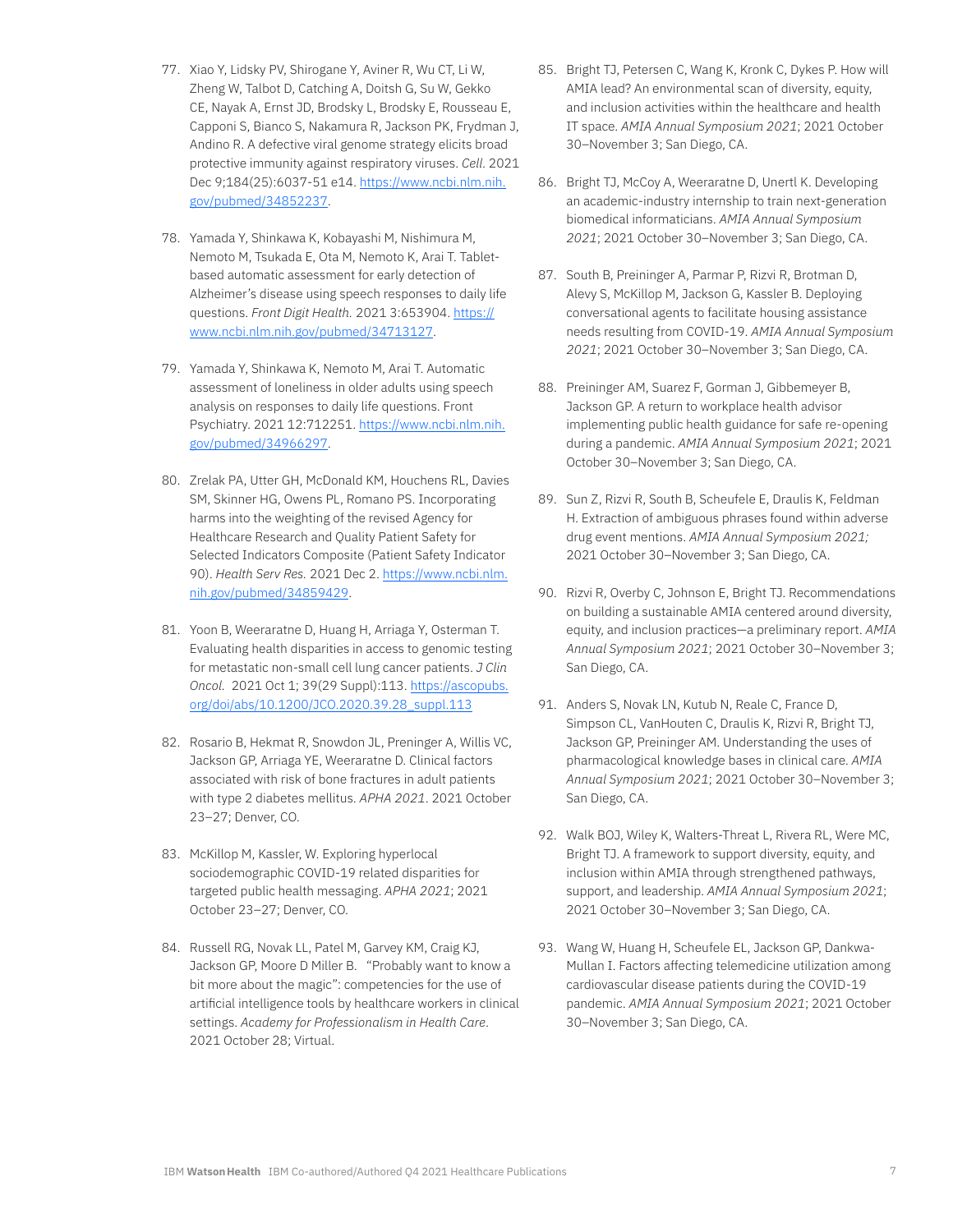- 77. Xiao Y, Lidsky PV, Shirogane Y, Aviner R, Wu CT, Li W, Zheng W, Talbot D, Catching A, Doitsh G, Su W, Gekko CE, Nayak A, Ernst JD, Brodsky L, Brodsky E, Rousseau E, Capponi S, Bianco S, Nakamura R, Jackson PK, Frydman J, Andino R. A defective viral genome strategy elicits broad protective immunity against respiratory viruses. *Cell*. 2021 Dec 9;184(25):6037-51 e14. [https://www.ncbi.nlm.nih.](https://www.ncbi.nlm.nih.gov/pubmed/34852237) [gov/pubmed/34852237.](https://www.ncbi.nlm.nih.gov/pubmed/34852237)
- 78. Yamada Y, Shinkawa K, Kobayashi M, Nishimura M, Nemoto M, Tsukada E, Ota M, Nemoto K, Arai T. Tabletbased automatic assessment for early detection of Alzheimer's disease using speech responses to daily life questions. *Front Digit Health.* 2021 3:653904. [https://](https://www.ncbi.nlm.nih.gov/pubmed/34713127) [www.ncbi.nlm.nih.gov/pubmed/34713127](https://www.ncbi.nlm.nih.gov/pubmed/34713127).
- 79. Yamada Y, Shinkawa K, Nemoto M, Arai T. Automatic assessment of loneliness in older adults using speech analysis on responses to daily life questions. Front Psychiatry. 2021 12:712251. [https://www.ncbi.nlm.nih.](https://www.ncbi.nlm.nih.gov/pubmed/34966297) [gov/pubmed/34966297.](https://www.ncbi.nlm.nih.gov/pubmed/34966297)
- 80. Zrelak PA, Utter GH, McDonald KM, Houchens RL, Davies SM, Skinner HG, Owens PL, Romano PS. Incorporating harms into the weighting of the revised Agency for Healthcare Research and Quality Patient Safety for Selected Indicators Composite (Patient Safety Indicator 90). *Health Serv Res.* 2021 Dec 2. [https://www.ncbi.nlm.](https://www.ncbi.nlm.nih.gov/pubmed/34859429) [nih.gov/pubmed/34859429](https://www.ncbi.nlm.nih.gov/pubmed/34859429).
- 81. Yoon B, Weeraratne D, Huang H, Arriaga Y, Osterman T. Evaluating health disparities in access to genomic testing for metastatic non-small cell lung cancer patients. *J Clin Oncol.* 2021 Oct 1; 39(29 Suppl):113. [https://ascopubs.](https://ascopubs.org/doi/abs/10.1200/JCO.2020.39.28_suppl.113) [org/doi/abs/10.1200/JCO.2020.39.28\\_suppl.113](https://ascopubs.org/doi/abs/10.1200/JCO.2020.39.28_suppl.113)
- 82. Rosario B, Hekmat R, Snowdon JL, Preninger A, Willis VC, Jackson GP, Arriaga YE, Weeraratne D. Clinical factors associated with risk of bone fractures in adult patients with type 2 diabetes mellitus. *APHA 2021*. 2021 October 23–27; Denver, CO.
- 83. McKillop M, Kassler, W. Exploring hyperlocal sociodemographic COVID-19 related disparities for targeted public health messaging. *APHA 2021*; 2021 October 23–27; Denver, CO.
- 84. Russell RG, Novak LL, Patel M, Garvey KM, Craig KJ, Jackson GP, Moore D Miller B. "Probably want to know a bit more about the magic": competencies for the use of artificial intelligence tools by healthcare workers in clinical settings. *Academy for Professionalism in Health Care*. 2021 October 28; Virtual.
- 85. Bright TJ, Petersen C, Wang K, Kronk C, Dykes P. How will AMIA lead? An environmental scan of diversity, equity, and inclusion activities within the healthcare and health IT space. *AMIA Annual Symposium 2021*; 2021 October 30–November 3; San Diego, CA.
- 86. Bright TJ, McCoy A, Weeraratne D, Unertl K. Developing an academic-industry internship to train next-generation biomedical informaticians. *AMIA Annual Symposium 2021*; 2021 October 30–November 3; San Diego, CA.
- 87. South B, Preininger A, Parmar P, Rizvi R, Brotman D, Alevy S, McKillop M, Jackson G, Kassler B. Deploying conversational agents to facilitate housing assistance needs resulting from COVID-19. *AMIA Annual Symposium 2021*; 2021 October 30–November 3; San Diego, CA.
- 88. Preininger AM, Suarez F, Gorman J, Gibbemeyer B, Jackson GP. A return to workplace health advisor implementing public health guidance for safe re-opening during a pandemic. *AMIA Annual Symposium 2021*; 2021 October 30–November 3; San Diego, CA.
- 89. Sun Z, Rizvi R, South B, Scheufele E, Draulis K, Feldman H. Extraction of ambiguous phrases found within adverse drug event mentions. *AMIA Annual Symposium 2021;* 2021 October 30–November 3; San Diego, CA.
- 90. Rizvi R, Overby C, Johnson E, Bright TJ. Recommendations on building a sustainable AMIA centered around diversity, equity, and inclusion practices—a preliminary report. *AMIA Annual Symposium 2021*; 2021 October 30–November 3; San Diego, CA.
- 91. Anders S, Novak LN, Kutub N, Reale C, France D, Simpson CL, VanHouten C, Draulis K, Rizvi R, Bright TJ, Jackson GP, Preininger AM. Understanding the uses of pharmacological knowledge bases in clinical care. *AMIA Annual Symposium 2021*; 2021 October 30–November 3; San Diego, CA.
- 92. Walk BOJ, Wiley K, Walters-Threat L, Rivera RL, Were MC, Bright TJ. A framework to support diversity, equity, and inclusion within AMIA through strengthened pathways, support, and leadership. *AMIA Annual Symposium 2021*; 2021 October 30–November 3; San Diego, CA.
- 93. Wang W, Huang H, Scheufele EL, Jackson GP, Dankwa-Mullan I. Factors affecting telemedicine utilization among cardiovascular disease patients during the COVID-19 pandemic. *AMIA Annual Symposium 2021*; 2021 October 30–November 3; San Diego, CA.